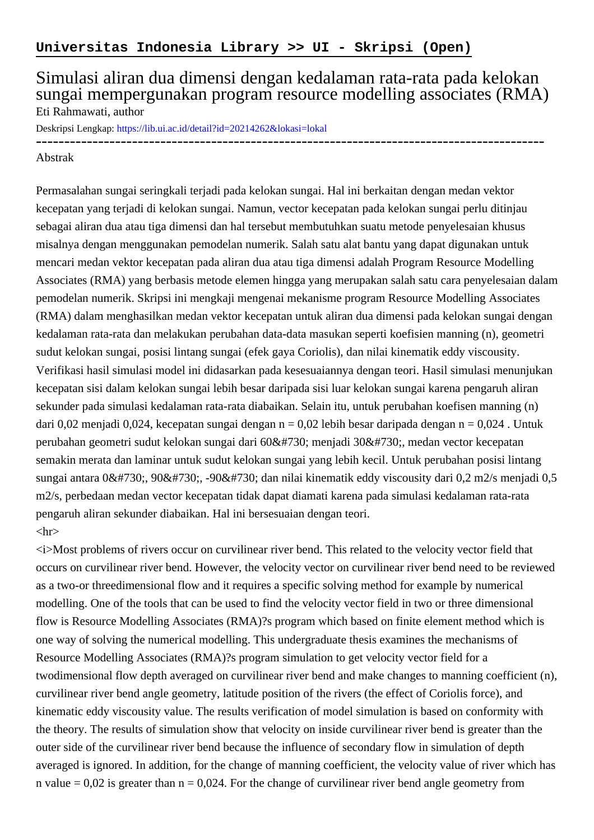## Simulasi aliran dua dimensi dengan kedalaman rata-rata pada kelokan sungai mempergunakan program resource modelling associates (RMA) Eti Rahmawati, author

Deskripsi Lengkap:<https://lib.ui.ac.id/detail?id=20214262&lokasi=lokal>

------------------------------------------------------------------------------------------

## Abstrak

Permasalahan sungai seringkali terjadi pada kelokan sungai. Hal ini berkaitan dengan medan vektor kecepatan yang terjadi di kelokan sungai. Namun, vector kecepatan pada kelokan sungai perlu ditinjau sebagai aliran dua atau tiga dimensi dan hal tersebut membutuhkan suatu metode penyelesaian khusus misalnya dengan menggunakan pemodelan numerik. Salah satu alat bantu yang dapat digunakan untuk mencari medan vektor kecepatan pada aliran dua atau tiga dimensi adalah Program Resource Modelling Associates (RMA) yang berbasis metode elemen hingga yang merupakan salah satu cara penyelesaian dalam pemodelan numerik. Skripsi ini mengkaji mengenai mekanisme program Resource Modelling Associates (RMA) dalam menghasilkan medan vektor kecepatan untuk aliran dua dimensi pada kelokan sungai dengan kedalaman rata-rata dan melakukan perubahan data-data masukan seperti koefisien manning (n), geometri sudut kelokan sungai, posisi lintang sungai (efek gaya Coriolis), dan nilai kinematik eddy viscousity. Verifikasi hasil simulasi model ini didasarkan pada kesesuaiannya dengan teori. Hasil simulasi menunjukan kecepatan sisi dalam kelokan sungai lebih besar daripada sisi luar kelokan sungai karena pengaruh aliran sekunder pada simulasi kedalaman rata-rata diabaikan. Selain itu, untuk perubahan koefisen manning (n) dari 0,02 menjadi 0,024, kecepatan sungai dengan n = 0,02 lebih besar daripada dengan n = 0,024. Untuk perubahan geometri sudut kelokan sungai dari 60˚ menjadi 30˚, medan vector kecepatan semakin merata dan laminar untuk sudut kelokan sungai yang lebih kecil. Untuk perubahan posisi lintang sungai antara 0˚, 90˚, -90˚ dan nilai kinematik eddy viscousity dari 0,2 m2/s menjadi 0,5 m2/s, perbedaan medan vector kecepatan tidak dapat diamati karena pada simulasi kedalaman rata-rata pengaruh aliran sekunder diabaikan. Hal ini bersesuaian dengan teori.  $\langle$ hr $>$ 

<i>Most problems of rivers occur on curvilinear river bend. This related to the velocity vector field that occurs on curvilinear river bend. However, the velocity vector on curvilinear river bend need to be reviewed as a two-or threedimensional flow and it requires a specific solving method for example by numerical modelling. One of the tools that can be used to find the velocity vector field in two or three dimensional flow is Resource Modelling Associates (RMA)?s program which based on finite element method which is one way of solving the numerical modelling. This undergraduate thesis examines the mechanisms of Resource Modelling Associates (RMA)?s program simulation to get velocity vector field for a twodimensional flow depth averaged on curvilinear river bend and make changes to manning coefficient (n), curvilinear river bend angle geometry, latitude position of the rivers (the effect of Coriolis force), and kinematic eddy viscousity value. The results verification of model simulation is based on conformity with the theory. The results of simulation show that velocity on inside curvilinear river bend is greater than the outer side of the curvilinear river bend because the influence of secondary flow in simulation of depth averaged is ignored. In addition, for the change of manning coefficient, the velocity value of river which has n value  $= 0.02$  is greater than  $n = 0.024$ . For the change of curvilinear river bend angle geometry from